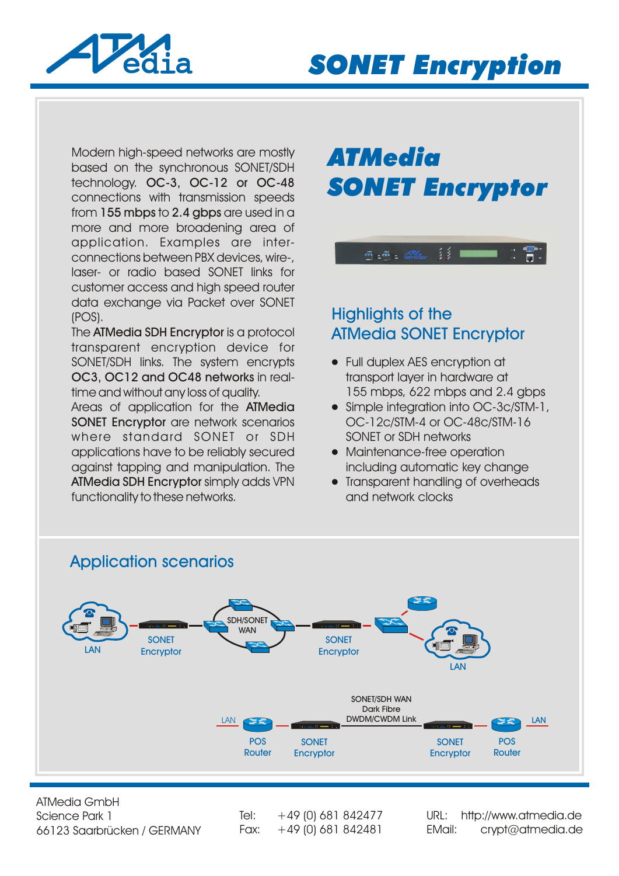

Modern high-speed networks are mostly based on the synchronous SONET/SDH technology. OC-3, OC-12 or OC-48 connections with transmission speeds from 155 mbps to 2.4 gbps are used in a more and more broadening area of application. Examples are interconnections between PBX devices, wire-, laser- or radio based SONET links for customer access and high speed router data exchange via Packet over SONET (POS).

The ATMedia SDH Encryptor is a protocol transparent encryption device for SONET/SDH links. The system encrypts OC3, OC12 and OC48 networks in realtime and without any loss of quality.

Areas of application for the ATMedia SONET Encryptor are network scenarios where standard SONET or SDH applications have to be reliably secured against tapping and manipulation. The ATMedia SDH Encryptor simply adds VPN functionality to these networks.

# *ATMedia SONET Encryptor*

 $\frac{2}{3}$   $\frac{2}{3}$   $\blacksquare$ 

### Highlights of the ATMedia SONET Encryptor

5:5: Pedia

- Full duplex AES encryption at transport layer in hardware at 155 mbps, 622 mbps and 2.4 gbps
- Simple integration into OC-3c/STM-1, OC-12c/STM-4 or OC-48c/STM-16 SONET or SDH networks
- Maintenance-free operation including automatic key change
- Transparent handling of overheads and network clocks



ATMedia GmbH Science Park 1 66123 Saarbrücken / GERMANY

Tel:  $+49$  (0) 681 842477

Fax: +49 (0) 681 842481 [EMail: crypt@atmedia.de](http://www.atmedia.de) URL: http://www.atmedia.de